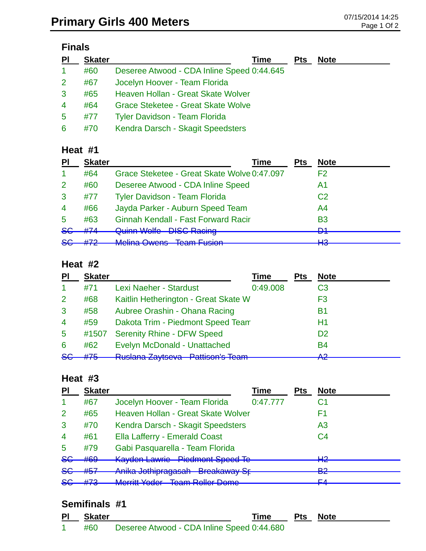## **Finals**

| PI                   | <b>Skater</b> | Time                                       | <b>Pts</b> | <b>Note</b> |
|----------------------|---------------|--------------------------------------------|------------|-------------|
| $\blacktriangleleft$ | #60           | Deseree Atwood - CDA Inline Speed 0:44.645 |            |             |
| $\mathbf{2}^{\circ}$ | #67           | Jocelyn Hoover - Team Florida              |            |             |
| 3                    | #65           | Heaven Hollan - Great Skate Wolver         |            |             |
| $\overline{4}$       | #64           | <b>Grace Steketee - Great Skate Wolve</b>  |            |             |
| 5                    | #77           | <b>Tyler Davidson - Team Florida</b>       |            |             |
| 6                    | #70           | Kendra Darsch - Skagit Speedsters          |            |             |

#### **Heat #1**

| <b>Skater</b> | Time                                        | Pts                            | <b>Note</b>    |
|---------------|---------------------------------------------|--------------------------------|----------------|
| #64           | Grace Steketee - Great Skate Wolve 0:47.097 |                                | F2             |
| #60           | Deseree Atwood - CDA Inline Speed           |                                | Α1             |
| #77           | <b>Tyler Davidson - Team Florida</b>        |                                | C <sub>2</sub> |
| #66           | Jayda Parker - Auburn Speed Team            |                                | A <sub>4</sub> |
| #63           | <b>Ginnah Kendall - Fast Forward Racir</b>  |                                | <b>B3</b>      |
|               |                                             |                                | D1.<br>▱       |
| #72           | Molina Owang Toam Eucion                    |                                | ப்<br>по       |
|               | #74                                         | <b>Quinn Wolfe DISC Racing</b> |                |

#### **Heat #2**

| PI              | <b>Skater</b> |                                                                                                   | Time     | Pts | <b>Note</b>    |
|-----------------|---------------|---------------------------------------------------------------------------------------------------|----------|-----|----------------|
| 1               | #71           | Lexi Naeher - Stardust                                                                            | 0:49.008 |     | C <sub>3</sub> |
| $\overline{2}$  | #68           | Kaitlin Hetherington - Great Skate W                                                              |          |     | F3             |
| 3               | #58           | Aubree Orashin - Ohana Racing                                                                     |          |     | <b>B1</b>      |
| $\overline{4}$  | #59           | Dakota Trim - Piedmont Speed Team                                                                 |          |     | Η1             |
| $5\phantom{.0}$ | #1507         | <b>Serenity Rhine - DFW Speed</b>                                                                 |          |     | D <sub>2</sub> |
| 6               | #62           | Evelyn McDonald - Unattached                                                                      |          |     | <b>B4</b>      |
| <del>SG</del>   | #75           | <b>Duclara Zavteova Datticople Toam</b><br>πτυσιαπα <i>Δ</i> αγιδονα<br><del>n amoon o hoam</del> |          |     | ∧ດ<br>ТŒ       |

#### **Heat #3**

| PI             | <b>Skater</b> |                                                                                | <b>Time</b> | <b>Pts</b> | <b>Note</b>    |
|----------------|---------------|--------------------------------------------------------------------------------|-------------|------------|----------------|
| -1             | #67           | Jocelyn Hoover - Team Florida                                                  | 0:47.777    |            | С1             |
| $\overline{2}$ | #65           | Heaven Hollan - Great Skate Wolver                                             |             |            | F1             |
| 3              | #70           | Kendra Darsch - Skagit Speedsters                                              |             |            | A <sub>3</sub> |
| $\overline{4}$ | #61           | Ella Lafferry - Emerald Coast                                                  |             |            | C <sub>4</sub> |
| 5              | #79           | Gabi Pasquarella - Team Florida                                                |             |            |                |
| 8 <sub>G</sub> | #69           | <b>Kayden Lawrie - Piedmont Speed Te</b>                                       |             |            | ⊔റ<br>┳        |
| $5$            | #57           | Anika Jothipragasah - Breakaway Sr-                                            |             |            | ∩ם<br>-75      |
| 8 <sub>G</sub> | H72<br>11 I J | Morritt Vodor - Toam Pollor Domo<br><u>ועוסדות דעשטו</u><br>טוווטע וטווטודוווט |             |            | EЛ             |

#### **Semifinals #1**

|    | PI Skater | Time                                       | <b>Pts Note</b> |  |
|----|-----------|--------------------------------------------|-----------------|--|
| 1. | #60       | Deseree Atwood - CDA Inline Speed 0:44.680 |                 |  |